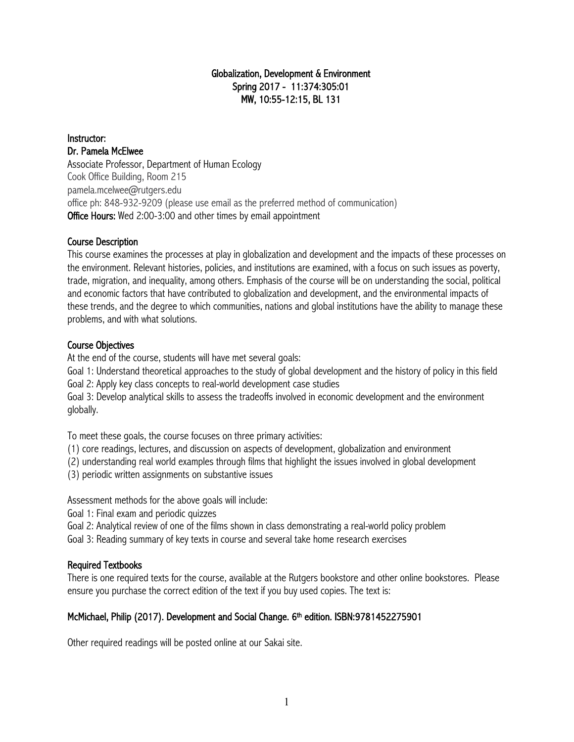#### Globalization, Development & Environment Spring 2017 - 11:374:305:01 MW, 10:55-12:15, BL 131

Instructor: Dr. Pamela McElwee Associate Professor, Department of Human Ecology Cook Office Building, Room 215 pamela.mcelwee@rutgers.edu office ph: 848-932-9209 (please use email as the preferred method of communication) Office Hours: Wed 2:00-3:00 and other times by email appointment

#### Course Description

This course examines the processes at play in globalization and development and the impacts of these processes on the environment. Relevant histories, policies, and institutions are examined, with a focus on such issues as poverty, trade, migration, and inequality, among others. Emphasis of the course will be on understanding the social, political and economic factors that have contributed to globalization and development, and the environmental impacts of these trends, and the degree to which communities, nations and global institutions have the ability to manage these problems, and with what solutions.

#### Course Objectives

At the end of the course, students will have met several goals:

Goal 1: Understand theoretical approaches to the study of global development and the history of policy in this field Goal 2: Apply key class concepts to real-world development case studies

Goal 3: Develop analytical skills to assess the tradeoffs involved in economic development and the environment globally.

To meet these goals, the course focuses on three primary activities:

(1) core readings, lectures, and discussion on aspects of development, globalization and environment

(2) understanding real world examples through films that highlight the issues involved in global development

(3) periodic written assignments on substantive issues

Assessment methods for the above goals will include:

Goal 1: Final exam and periodic quizzes

Goal 2: Analytical review of one of the films shown in class demonstrating a real-world policy problem

Goal 3: Reading summary of key texts in course and several take home research exercises

#### Required Textbooks

There is one required texts for the course, available at the Rutgers bookstore and other online bookstores. Please ensure you purchase the correct edition of the text if you buy used copies. The text is:

#### McMichael, Philip (2017). Development and Social Change. 6<sup>th</sup> edition. ISBN:9781452275901

Other required readings will be posted online at our Sakai site.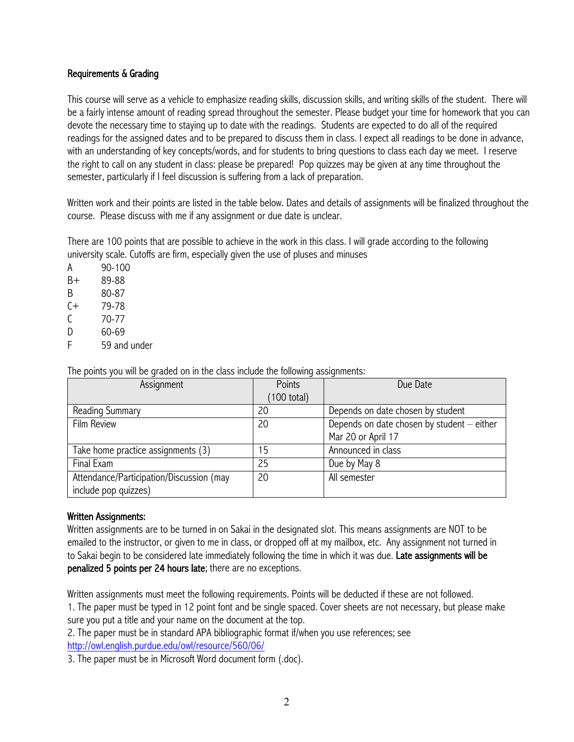#### Requirements & Grading

This course will serve as a vehicle to emphasize reading skills, discussion skills, and writing skills of the student. There will be a fairly intense amount of reading spread throughout the semester. Please budget your time for homework that you can devote the necessary time to staying up to date with the readings. Students are expected to do all of the required readings for the assigned dates and to be prepared to discuss them in class. I expect all readings to be done in advance, with an understanding of key concepts/words, and for students to bring questions to class each day we meet. I reserve the right to call on any student in class: please be prepared! Pop quizzes may be given at any time throughout the semester, particularly if I feel discussion is suffering from a lack of preparation.

Written work and their points are listed in the table below. Dates and details of assignments will be finalized throughout the course. Please discuss with me if any assignment or due date is unclear.

There are 100 points that are possible to achieve in the work in this class. I will grade according to the following university scale. Cutoffs are firm, especially given the use of pluses and minuses

A 90-100 B+ 89-88 B 80-87 C+ 79-78 C 70-77 D 60-69 F 59 and under

| Assignment                               | Points                | Due Date                                   |
|------------------------------------------|-----------------------|--------------------------------------------|
|                                          | $(100 \text{ total})$ |                                            |
| Reading Summary                          | 20                    | Depends on date chosen by student          |
| <b>Film Review</b>                       | 20                    | Depends on date chosen by student - either |
|                                          |                       | Mar 20 or April 17                         |
| Take home practice assignments (3)       | 5                     | Announced in class                         |
| Final Exam                               | 25                    | Due by May 8                               |
| Attendance/Participation/Discussion (may | 20                    | All semester                               |
| include pop quizzes)                     |                       |                                            |

The points you will be graded on in the class include the following assignments:

#### Written Assignments:

Written assignments are to be turned in on Sakai in the designated slot. This means assignments are NOT to be emailed to the instructor, or given to me in class, or dropped off at my mailbox, etc. Any assignment not turned in to Sakai begin to be considered late immediately following the time in which it was due. Late assignments will be penalized 5 points per 24 hours late; there are no exceptions.

Written assignments must meet the following requirements. Points will be deducted if these are not followed.

1. The paper must be typed in 12 point font and be single spaced. Cover sheets are not necessary, but please make sure you put a title and your name on the document at the top.

2. The paper must be in standard APA bibliographic format if/when you use references; see http://owl.english.purdue.edu/owl/resource/560/06/

3. The paper must be in Microsoft Word document form (.doc).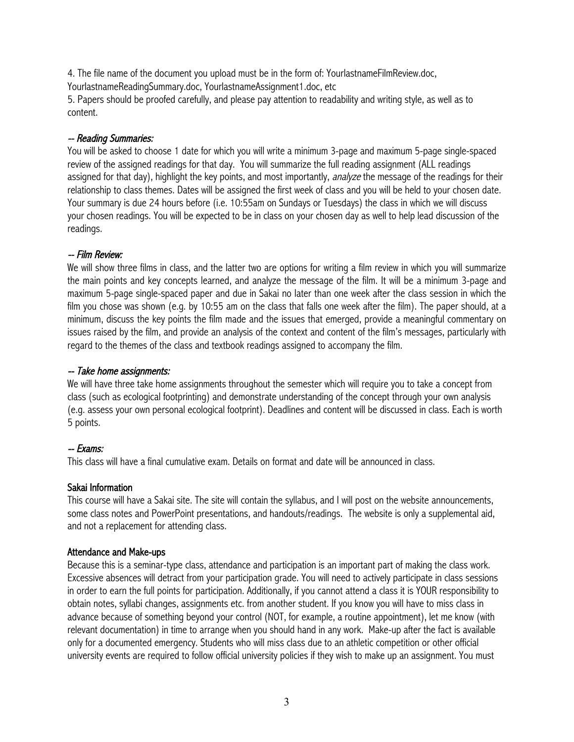4. The file name of the document you upload must be in the form of: YourlastnameFilmReview.doc, YourlastnameReadingSummary.doc, YourlastnameAssignment1.doc, etc

5. Papers should be proofed carefully, and please pay attention to readability and writing style, as well as to content.

#### -- Reading Summaries:

You will be asked to choose 1 date for which you will write a minimum 3-page and maximum 5-page single-spaced review of the assigned readings for that day. You will summarize the full reading assignment (ALL readings assigned for that day), highlight the key points, and most importantly, analyze the message of the readings for their relationship to class themes. Dates will be assigned the first week of class and you will be held to your chosen date. Your summary is due 24 hours before (i.e. 10:55am on Sundays or Tuesdays) the class in which we will discuss your chosen readings. You will be expected to be in class on your chosen day as well to help lead discussion of the readings.

#### -- Film Review:

We will show three films in class, and the latter two are options for writing a film review in which you will summarize the main points and key concepts learned, and analyze the message of the film. It will be a minimum 3-page and maximum 5-page single-spaced paper and due in Sakai no later than one week after the class session in which the film you chose was shown (e.g. by 10:55 am on the class that falls one week after the film). The paper should, at a minimum, discuss the key points the film made and the issues that emerged, provide a meaningful commentary on issues raised by the film, and provide an analysis of the context and content of the film's messages, particularly with regard to the themes of the class and textbook readings assigned to accompany the film.

#### -- Take home assignments:

We will have three take home assignments throughout the semester which will require you to take a concept from class (such as ecological footprinting) and demonstrate understanding of the concept through your own analysis (e.g. assess your own personal ecological footprint). Deadlines and content will be discussed in class. Each is worth 5 points.

#### -- Exams:

This class will have a final cumulative exam. Details on format and date will be announced in class.

#### Sakai Information

This course will have a Sakai site. The site will contain the syllabus, and I will post on the website announcements, some class notes and PowerPoint presentations, and handouts/readings. The website is only a supplemental aid, and not a replacement for attending class.

#### Attendance and Make-ups

Because this is a seminar-type class, attendance and participation is an important part of making the class work. Excessive absences will detract from your participation grade. You will need to actively participate in class sessions in order to earn the full points for participation. Additionally, if you cannot attend a class it is YOUR responsibility to obtain notes, syllabi changes, assignments etc. from another student. If you know you will have to miss class in advance because of something beyond your control (NOT, for example, a routine appointment), let me know (with relevant documentation) in time to arrange when you should hand in any work. Make-up after the fact is available only for a documented emergency. Students who will miss class due to an athletic competition or other official university events are required to follow official university policies if they wish to make up an assignment. You must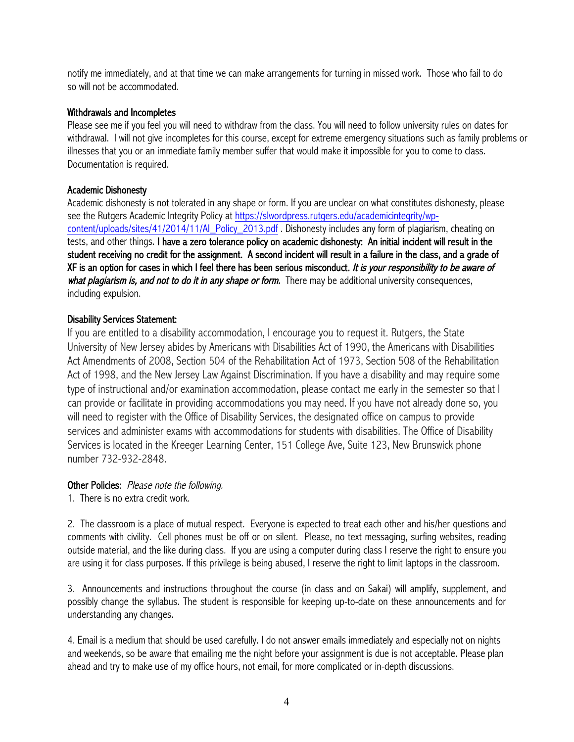notify me immediately, and at that time we can make arrangements for turning in missed work. Those who fail to do so will not be accommodated.

#### Withdrawals and Incompletes

Please see me if you feel you will need to withdraw from the class. You will need to follow university rules on dates for withdrawal. I will not give incompletes for this course, except for extreme emergency situations such as family problems or illnesses that you or an immediate family member suffer that would make it impossible for you to come to class. Documentation is required.

#### Academic Dishonesty

Academic dishonesty is not tolerated in any shape or form. If you are unclear on what constitutes dishonesty, please see the Rutgers Academic Integrity Policy at https://slwordpress.rutgers.edu/academicintegrity/wpcontent/uploads/sites/41/2014/11/AI\_Policy\_2013.pdf . Dishonesty includes any form of plagiarism, cheating on tests, and other things. I have a zero tolerance policy on academic dishonesty: An initial incident will result in the student receiving no credit for the assignment. A second incident will result in a failure in the class, and a grade of XF is an option for cases in which I feel there has been serious misconduct. It is your responsibility to be aware of what plagiarism is, and not to do it in any shape or form. There may be additional university consequences, including expulsion.

Disability Services Statement:<br>If you are entitled to a disability accommodation, I encourage you to request it. Rutgers, the State University of New Jersey abides by Americans with Disabilities Act of 1990, the Americans with Disabilities Act Amendments of 2008, Section 504 of the Rehabilitation Act of 1973, Section 508 of the Rehabilitation Act of 1998, and the New Jersey Law Against Discrimination. If you have a disability and may require some type of instructional and/or examination accommodation, please contact me early in the semester so that I can provide or facilitate in providing accommodations you may need. If you have not already done so, you will need to register with the Office of Disability Services, the designated office on campus to provide services and administer exams with accommodations for students with disabilities. The Office of Disability Services is located in the Kreeger Learning Center, 151 College Ave, Suite 123, New Brunswick phone number 732-932-2848.

#### Other Policies: Please note the following.

1. There is no extra credit work.

2. The classroom is a place of mutual respect. Everyone is expected to treat each other and his/her questions and comments with civility. Cell phones must be off or on silent. Please, no text messaging, surfing websites, reading outside material, and the like during class. If you are using a computer during class I reserve the right to ensure you are using it for class purposes. If this privilege is being abused, I reserve the right to limit laptops in the classroom.

3. Announcements and instructions throughout the course (in class and on Sakai) will amplify, supplement, and possibly change the syllabus. The student is responsible for keeping up-to-date on these announcements and for understanding any changes.

4. Email is a medium that should be used carefully. I do not answer emails immediately and especially not on nights and weekends, so be aware that emailing me the night before your assignment is due is not acceptable. Please plan ahead and try to make use of my office hours, not email, for more complicated or in-depth discussions.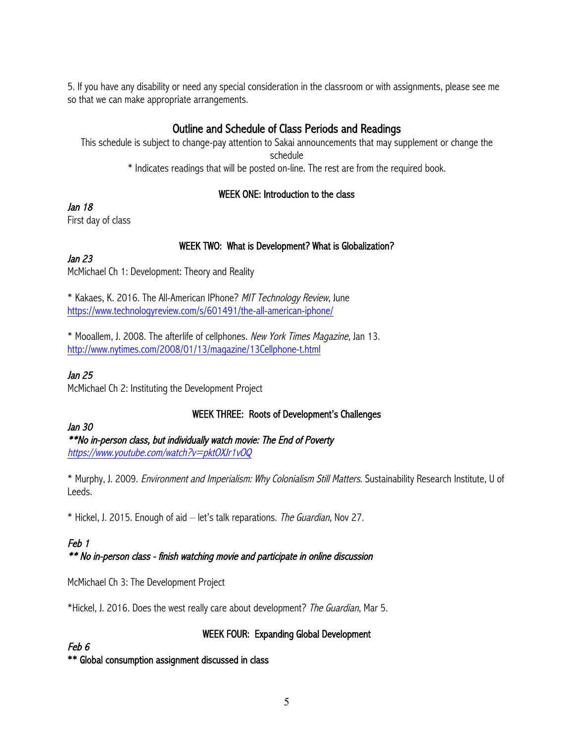5. If you have any disability or need any special consideration in the classroom or with assignments, please see me so that we can make appropriate arrangements.

# Outline and Schedule of Class Periods and Readings

This schedule is subject to change-pay attention to Sakai announcements that may supplement or change the schedule \* Indicates readings that will be posted on-line. The rest are from the required book.

## WEEK ONE: Introduction to the class

Jan 18

First day of class

## WEEK TWO: What is Development? What is Globalization?

## Jan 23

McMichael Ch 1: Development: Theory and Reality

\* Kakaes, K. 2016. The All-American IPhone? MIT Technology Review, June https://www.technologyreview.com/s/601491/the-all-american-iphone/

\* Mooallem, J. 2008. The afterlife of cellphones. New York Times Magazine, Jan 13. http://www.nytimes.com/2008/01/13/magazine/13Cellphone-t.html

## Jan 25

McMichael Ch 2: Instituting the Development Project

# WEEK THREE: Roots of Development's Challenges

#### Jan 30

\*\*No in-person class, but individually watch movie: The End of Poverty

https://www.youtube.com/watch?v=pktOXJr1vOQ

\* Murphy, J. 2009. Environment and Imperialism: Why Colonialism Still Matters. Sustainability Research Institute, U of Leeds.

\* Hickel, J. 2015. Enough of aid – let's talk reparations. The Guardian, Nov 27.

# Feb 1

#### \*\* No in-person class - finish watching movie and participate in online discussion

McMichael Ch 3: The Development Project

\*Hickel, J. 2016. Does the west really care about development? The Guardian, Mar 5.

# WEEK FOUR: Expanding Global Development

#### Feb 6

\*\* Global consumption assignment discussed in class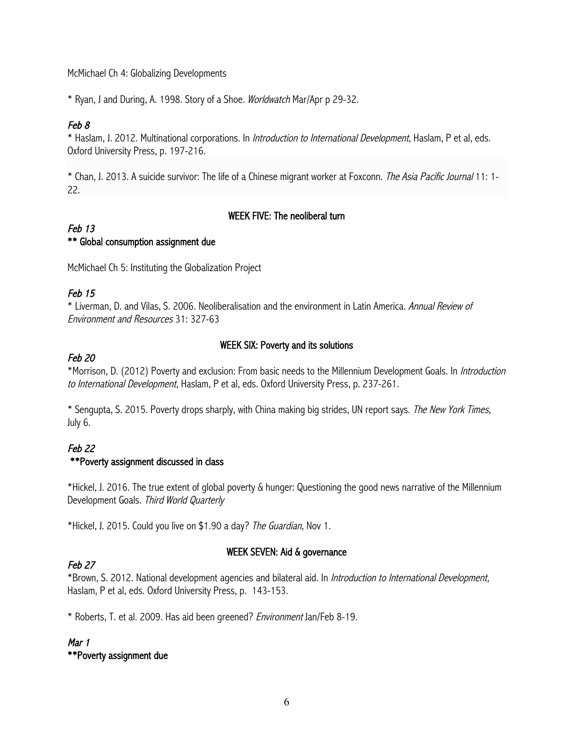McMichael Ch 4: Globalizing Developments

\* Ryan, J and During, A. 1998. Story of a Shoe. Worldwatch Mar/Apr p 29-32.

## Feb 8

\* Haslam, J. 2012. Multinational corporations. In Introduction to International Development, Haslam, P et al, eds. Oxford University Press, p. 197-216.

\* Chan, J. 2013. A suicide survivor: The life of a Chinese migrant worker at Foxconn. The Asia Pacific Journal 11: 1- 22.

#### WEEK FIVE: The neoliberal turn

#### Feb 13 \*\* Global consumption assignment due

McMichael Ch 5: Instituting the Globalization Project

# Feb 15

\* Liverman, D. and Vilas, S. 2006. Neoliberalisation and the environment in Latin America. Annual Review of Environment and Resources 31: 327-63

#### Feb 20

#### WEEK SIX: Poverty and its solutions

\*Morrison, D. (2012) Poverty and exclusion: From basic needs to the Millennium Development Goals. In Introduction to International Development, Haslam, P et al, eds. Oxford University Press, p. 237-261.

\* Sengupta, S. 2015. Poverty drops sharply, with China making big strides, UN report says. The New York Times, July 6.

# Feb 22 \*\*Poverty assignment discussed in class

\*Hickel, J. 2016. The true extent of global poverty & hunger: Questioning the good news narrative of the Millennium Development Goals. Third World Quarterly

\*Hickel, J. 2015. Could you live on \$1.90 a day? The Guardian, Nov 1.

#### WEEK SEVEN: Aid & governance

# Feb 27

\*Brown, S. 2012. National development agencies and bilateral aid. In Introduction to International Development, Haslam, P et al, eds. Oxford University Press, p. 143-153.

\* Roberts, T. et al. 2009. Has aid been greened? Environment Jan/Feb 8-19.

#### Mar 1 \*\*Poverty assignment due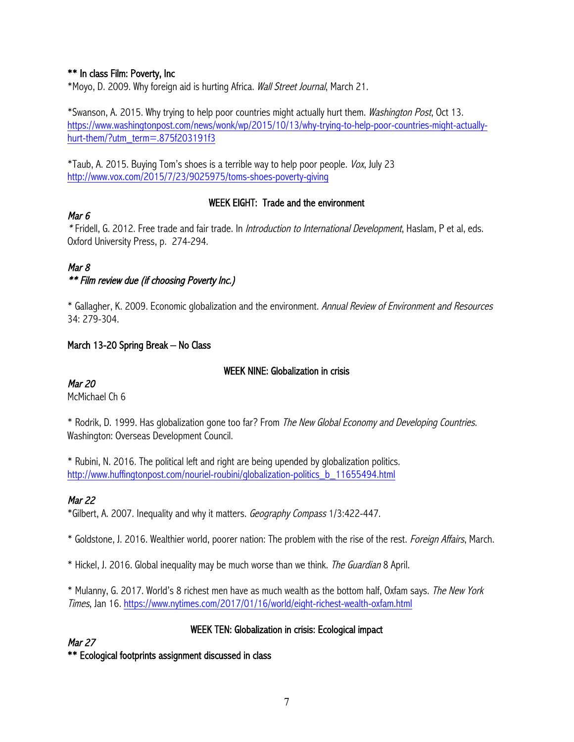#### \*\* In class Film: Poverty, Inc

\*Moyo, D. 2009. Why foreign aid is hurting Africa. Wall Street Journal, March 21.

\*Swanson, A. 2015. Why trying to help poor countries might actually hurt them. Washington Post, Oct 13. https://www.washingtonpost.com/news/wonk/wp/2015/10/13/why-trying-to-help-poor-countries-might-actuallyhurt-them/?utm\_term=.875f203191f3

\*Taub, A. 2015. Buying Tom's shoes is a terrible way to help poor people. Vox, July 23 http://www.vox.com/2015/7/23/9025975/toms-shoes-poverty-giving

#### WEEK EIGHT: Trade and the environment

#### Mar 6

\* Fridell, G. 2012. Free trade and fair trade. In Introduction to International Development, Haslam, P et al, eds. Oxford University Press, p. 274-294.

# Mar 8

\*\* Film review due (if choosing Poverty Inc.)

\* Gallagher, K. 2009. Economic globalization and the environment. Annual Review of Environment and Resources 34: 279-304.

#### March 13-20 Spring Break – No Class

#### WEEK NINE: Globalization in crisis

Mar 20

McMichael Ch 6

\* Rodrik, D. 1999. Has globalization gone too far? From The New Global Economy and Developing Countries. Washington: Overseas Development Council.

\* Rubini, N. 2016. The political left and right are being upended by globalization politics. http://www.huffingtonpost.com/nouriel-roubini/globalization-politics\_b\_11655494.html

#### Mar 22

\*Gilbert, A. 2007. Inequality and why it matters. Geography Compass 1/3:422-447.

\* Goldstone, J. 2016. Wealthier world, poorer nation: The problem with the rise of the rest. Foreign Affairs, March.

\* Hickel, J. 2016. Global inequality may be much worse than we think. The Guardian 8 April.

\* Mulanny, G. 2017. World's 8 richest men have as much wealth as the bottom half, Oxfam says. The New York Times, Jan 16. https://www.nytimes.com/2017/01/16/world/eight-richest-wealth-oxfam.html

#### WEEK TEN: Globalization in crisis: Ecological impact

Mar 27

\*\* Ecological footprints assignment discussed in class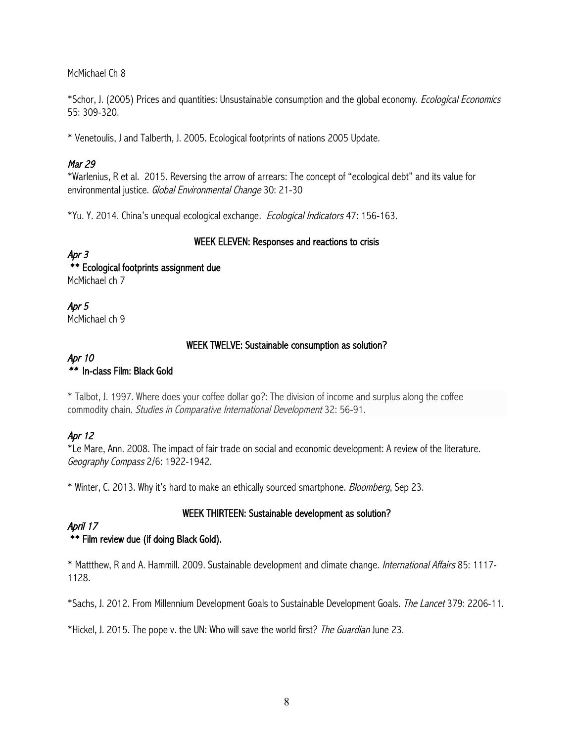McMichael Ch 8

\*Schor, J. (2005) Prices and quantities: Unsustainable consumption and the global economy. Ecological Economics 55: 309-320.

\* Venetoulis, J and Talberth, J. 2005. Ecological footprints of nations 2005 Update.

# Mar 29

\*Warlenius, R et al. 2015. Reversing the arrow of arrears: The concept of "ecological debt" and its value for environmental justice. Global Environmental Change 30: 21-30

\*Yu. Y. 2014. China's unequal ecological exchange. Ecological Indicators 47: 156-163.

#### WEEK ELEVEN: Responses and reactions to crisis

# Apr 3

 \*\* Ecological footprints assignment due McMichael ch 7

Apr 5 McMichael ch 9

## WEEK TWELVE: Sustainable consumption as solution?

#### Apr 10 \*\* In-class Film: Black Gold

\* Talbot, J. 1997. Where does your coffee dollar go?: The division of income and surplus along the coffee commodity chain. Studies in Comparative International Development 32: 56-91.

# Apr 12

\*Le Mare, Ann. 2008. The impact of fair trade on social and economic development: A review of the literature. Geography Compass 2/6: 1922-1942.

\* Winter, C. 2013. Why it's hard to make an ethically sourced smartphone. Bloomberg, Sep 23.

# WEEK THIRTEEN: Sustainable development as solution?

#### April 17 \*\* Film review due (if doing Black Gold).

\* Mattthew, R and A. Hammill. 2009. Sustainable development and climate change. International Affairs 85: 1117- 1128.

\*Sachs, J. 2012. From Millennium Development Goals to Sustainable Development Goals. The Lancet 379: 2206-11.

\*Hickel, J. 2015. The pope v. the UN: Who will save the world first? The Guardian June 23.